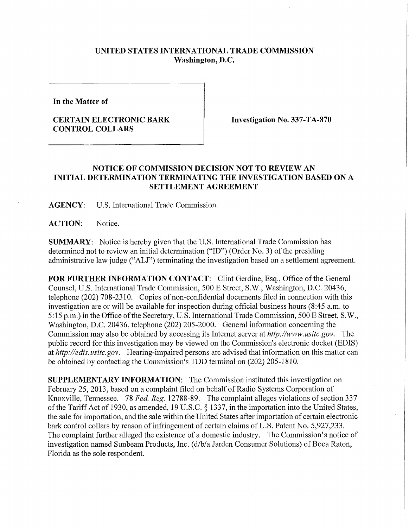## **UNITED STATES INTERNATIONAL TRADE COMMISSION Washington, D.C.**

**In the Matter of** 

## **CERTAIN ELECTRONIC BARK CONTROL COLLARS**

**Investigation No. 337-TA-870** 

## **NOTICE OF COMMISSION DECISION NOT TO REVIEW AN INITIAL DETERMINATION TERMINATING THE INVESTIGATION BASED ON A SETTLEMENT AGREEMENT**

**AGENCY:** U.S. International Trade Commission.

**ACTION:** Notice.

**SUMMARY:** Notice is hereby given that the U.S. International Trade Commission has determined not to review an initial determination ("ID") (Order No. 3) of the presiding administrative lawjudge ("ALJ") terminating the investigation based on a settlement agreement.

**FOR FURTHER INFORMATION CONTACT:** Clint Gerdine, Esq., Office of the General Counsel, U.S. Intemational Trade Commission, 500 E Street, S.W., Washington, D.C. 20436, telephone (202) 708-2310. Copies of non-confidential documents filed in connection with this investigation are or will be available for inspection during official business hours (8:45 a.m. to 5:15 p.m.) in the Office of the Secretary, U.S. International Trade Commission, 500 E Street, S.W., Washington, D.C. 20436, telephone (202) 205-2000. General information concerning the Commission may also be obtained by accessing its Internet server at *http://www. usitc.gov.* The public record for this investigation may be viewed on the Commission's electronic docket (EDIS) at *http://edis. usitc.gov.* Hearing-impaired persons are advised that information on this matter can be obtained by contacting the Commission's TDD terminal on (202) 205-1810.

**SUPPLEMENTARY INFORMATION:** The Commission instituted this investigation on February 25, 2013, based on a complaint filed on behalf of Radio Systems Corporation of Knoxville, Tennessee. 78 *Fed. Reg.* 12788-89. The complaint alleges violations of section 337 of the Tariff Act of 1930, as amended, 19 U.S.C. § 1337, in the importation into the United States, the sale for importation, and the sale within the United States after importation of certain electronic bark control collars by reason of infringement of certain claims of U.S. Patent No. 5,927,233. The complaint further alleged the existence of a domestic industry. The Commission's notice of investigation named Sunbeam Products, Inc. (d/b/a Jarden Consumer Solutions) of Boca Raton, Florida as the sole respondent.